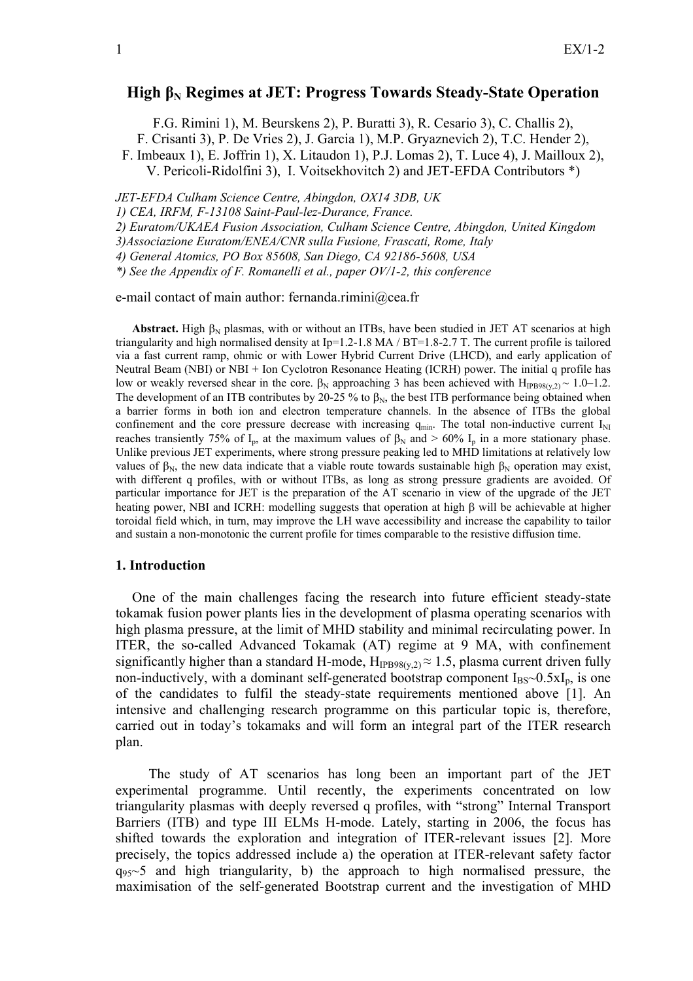# **High βN Regimes at JET: Progress Towards Steady-State Operation**

F.G. Rimini 1), M. Beurskens 2), P. Buratti 3), R. Cesario 3), C. Challis 2),

F. Crisanti 3), P. De Vries 2), J. Garcia 1), M.P. Gryaznevich 2), T.C. Hender 2),

F. Imbeaux 1), E. Joffrin 1), X. Litaudon 1), P.J. Lomas 2), T. Luce 4), J. Mailloux 2),

V. Pericoli-Ridolfini 3), I. Voitsekhovitch 2) and JET-EFDA Contributors \*)

*JET-EFDA Culham Science Centre, Abingdon, OX14 3DB, UK* 

*1) CEA, IRFM, F-13108 Saint-Paul-lez-Durance, France.* 

*2) Euratom/UKAEA Fusion Association, Culham Science Centre, Abingdon, United Kingdom* 

*3)Associazione Euratom/ENEA/CNR sulla Fusione, Frascati, Rome, Italy* 

*4) General Atomics, PO Box 85608, San Diego, CA 92186-5608, USA* 

*\*) See the Appendix of F. Romanelli et al., paper OV/1-2, this conference* 

e-mail contact of main author: fernanda.rimini@cea.fr

**Abstract.** High  $\beta_N$  plasmas, with or without an ITBs, have been studied in JET AT scenarios at high triangularity and high normalised density at  $Ip=1.2-1.8$  MA / BT=1.8-2.7 T. The current profile is tailored via a fast current ramp, ohmic or with Lower Hybrid Current Drive (LHCD), and early application of Neutral Beam (NBI) or NBI + Ion Cyclotron Resonance Heating (ICRH) power. The initial q profile has low or weakly reversed shear in the core.  $\beta_N$  approaching 3 has been achieved with H<sub>IPB98(y,2)</sub> ~ 1.0–1.2. The development of an ITB contributes by 20-25 % to  $\beta_N$ , the best ITB performance being obtained when a barrier forms in both ion and electron temperature channels. In the absence of ITBs the global confinement and the core pressure decrease with increasing  $q_{min}$ . The total non-inductive current  $I_{NI}$ reaches transiently 75% of I<sub>p</sub>, at the maximum values of  $\beta_N$  and > 60% I<sub>p</sub> in a more stationary phase. Unlike previous JET experiments, where strong pressure peaking led to MHD limitations at relatively low values of  $\beta_N$ , the new data indicate that a viable route towards sustainable high  $\beta_N$  operation may exist, with different q profiles, with or without ITBs, as long as strong pressure gradients are avoided. Of particular importance for JET is the preparation of the AT scenario in view of the upgrade of the JET heating power, NBI and ICRH: modelling suggests that operation at high β will be achievable at higher toroidal field which, in turn, may improve the LH wave accessibility and increase the capability to tailor and sustain a non-monotonic the current profile for times comparable to the resistive diffusion time.

#### **1. Introduction**

One of the main challenges facing the research into future efficient steady-state tokamak fusion power plants lies in the development of plasma operating scenarios with high plasma pressure, at the limit of MHD stability and minimal recirculating power. In ITER, the so-called Advanced Tokamak (AT) regime at 9 MA, with confinement significantly higher than a standard H-mode,  $H_{IPB98(v,2)} \approx 1.5$ , plasma current driven fully non-inductively, with a dominant self-generated bootstrap component  $I_{BS} \sim 0.5xI_p$ , is one of the candidates to fulfil the steady-state requirements mentioned above [1]. An intensive and challenging research programme on this particular topic is, therefore, carried out in today's tokamaks and will form an integral part of the ITER research plan.

The study of AT scenarios has long been an important part of the JET experimental programme. Until recently, the experiments concentrated on low triangularity plasmas with deeply reversed q profiles, with "strong" Internal Transport Barriers (ITB) and type III ELMs H-mode. Lately, starting in 2006, the focus has shifted towards the exploration and integration of ITER-relevant issues [2]. More precisely, the topics addressed include a) the operation at ITER-relevant safety factor  $q_{95}$ ~5 and high triangularity, b) the approach to high normalised pressure, the maximisation of the self-generated Bootstrap current and the investigation of MHD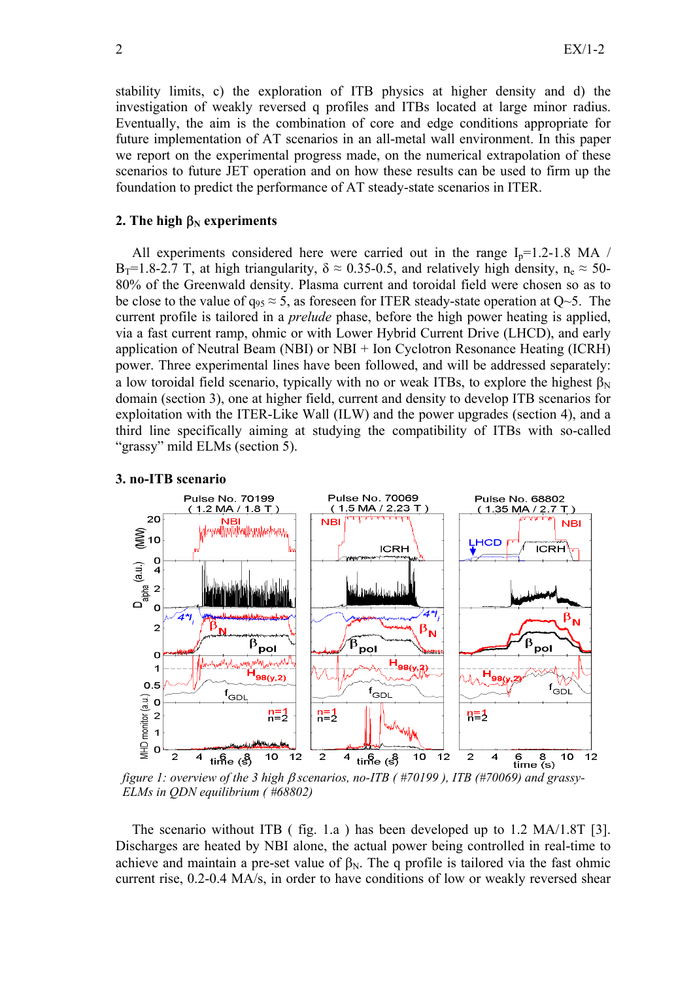stability limits, c) the exploration of ITB physics at higher density and d) the investigation of weakly reversed q profiles and ITBs located at large minor radius. Eventually, the aim is the combination of core and edge conditions appropriate for future implementation of AT scenarios in an all-metal wall environment. In this paper we report on the experimental progress made, on the numerical extrapolation of these scenarios to future JET operation and on how these results can be used to firm up the foundation to predict the performance of AT steady-state scenarios in ITER.

# **2.** The high  $\beta_N$  experiments

All experiments considered here were carried out in the range  $I_p=1.2-1.8$  MA /  $B_T=1.8-2.7$  T, at high triangularity,  $\delta \approx 0.35-0.5$ , and relatively high density,  $n_e \approx 50-$ 80% of the Greenwald density. Plasma current and toroidal field were chosen so as to be close to the value of  $q_{95} \approx 5$ , as foreseen for ITER steady-state operation at  $Q_{\sim}5$ . The current profile is tailored in a *prelude* phase, before the high power heating is applied, via a fast current ramp, ohmic or with Lower Hybrid Current Drive (LHCD), and early application of Neutral Beam (NBI) or NBI + Ion Cyclotron Resonance Heating (ICRH) power. Three experimental lines have been followed, and will be addressed separately: a low toroidal field scenario, typically with no or weak ITBs, to explore the highest  $\beta_N$ domain (section 3), one at higher field, current and density to develop ITB scenarios for exploitation with the ITER-Like Wall (ILW) and the power upgrades (section 4), and a third line specifically aiming at studying the compatibility of ITBs with so-called "grassy" mild ELMs (section 5).

# **3. no-ITB scenario**



*figure 1: overview of the 3 high* β *scenarios, no-ITB ( #70199 ), ITB (#70069) and grassy-ELMs in QDN equilibrium ( #68802)* 

The scenario without ITB ( fig. 1.a ) has been developed up to 1.2 MA/1.8T [3]. Discharges are heated by NBI alone, the actual power being controlled in real-time to achieve and maintain a pre-set value of  $\beta_N$ . The q profile is tailored via the fast ohmic current rise, 0.2-0.4 MA/s, in order to have conditions of low or weakly reversed shear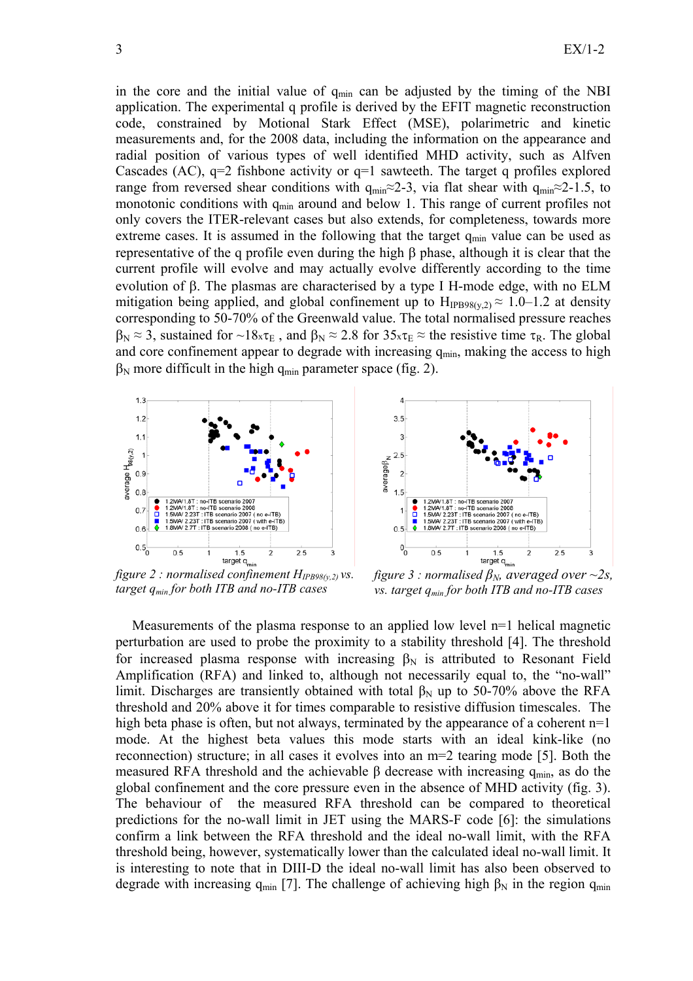in the core and the initial value of  $q_{min}$  can be adjusted by the timing of the NBI application. The experimental q profile is derived by the EFIT magnetic reconstruction code, constrained by Motional Stark Effect (MSE), polarimetric and kinetic measurements and, for the 2008 data, including the information on the appearance and radial position of various types of well identified MHD activity, such as Alfven Cascades (AC),  $q=2$  fishbone activity or  $q=1$  sawteeth. The target q profiles explored range from reversed shear conditions with  $q_{min} \approx 2-3$ , via flat shear with  $q_{min} \approx 2-1.5$ , to monotonic conditions with  $q_{min}$  around and below 1. This range of current profiles not only covers the ITER-relevant cases but also extends, for completeness, towards more extreme cases. It is assumed in the following that the target  $q_{min}$  value can be used as representative of the q profile even during the high β phase, although it is clear that the current profile will evolve and may actually evolve differently according to the time evolution of β. The plasmas are characterised by a type I H-mode edge, with no ELM mitigation being applied, and global confinement up to  $H_{IPB98(v,2)} \approx 1.0$ –1.2 at density corresponding to 50-70% of the Greenwald value. The total normalised pressure reaches  $\beta_N \approx 3$ , sustained for ~18x $\tau_E$ , and  $\beta_N \approx 2.8$  for  $35x\tau_E \approx$  the resistive time  $\tau_R$ . The global and core confinement appear to degrade with increasing  $q_{min}$ , making the access to high  $\beta_N$  more difficult in the high q<sub>min</sub> parameter space (fig. 2).





*figure 2 : normalised confinement*  $H_{IPB98(v,2)}$  *vs. target qmin for both ITB and no-ITB cases* 

*figure 3 : normalised*  $\beta_N$ , averaged over ~2s, *vs. target qmin for both ITB and no-ITB cases* 

Measurements of the plasma response to an applied low level  $n=1$  helical magnetic perturbation are used to probe the proximity to a stability threshold [4]. The threshold for increased plasma response with increasing  $\beta_N$  is attributed to Resonant Field Amplification (RFA) and linked to, although not necessarily equal to, the "no-wall" limit. Discharges are transiently obtained with total β<sub>N</sub> up to 50-70% above the RFA threshold and 20% above it for times comparable to resistive diffusion timescales. The high beta phase is often, but not always, terminated by the appearance of a coherent  $n=1$ mode. At the highest beta values this mode starts with an ideal kink-like (no reconnection) structure; in all cases it evolves into an m=2 tearing mode [5]. Both the measured RFA threshold and the achievable  $\beta$  decrease with increasing  $q_{min}$ , as do the global confinement and the core pressure even in the absence of MHD activity (fig. 3). The behaviour of the measured RFA threshold can be compared to theoretical predictions for the no-wall limit in JET using the MARS-F code [6]: the simulations confirm a link between the RFA threshold and the ideal no-wall limit, with the RFA threshold being, however, systematically lower than the calculated ideal no-wall limit. It is interesting to note that in DIII-D the ideal no-wall limit has also been observed to degrade with increasing q<sub>min</sub> [7]. The challenge of achieving high  $\beta_N$  in the region q<sub>min</sub>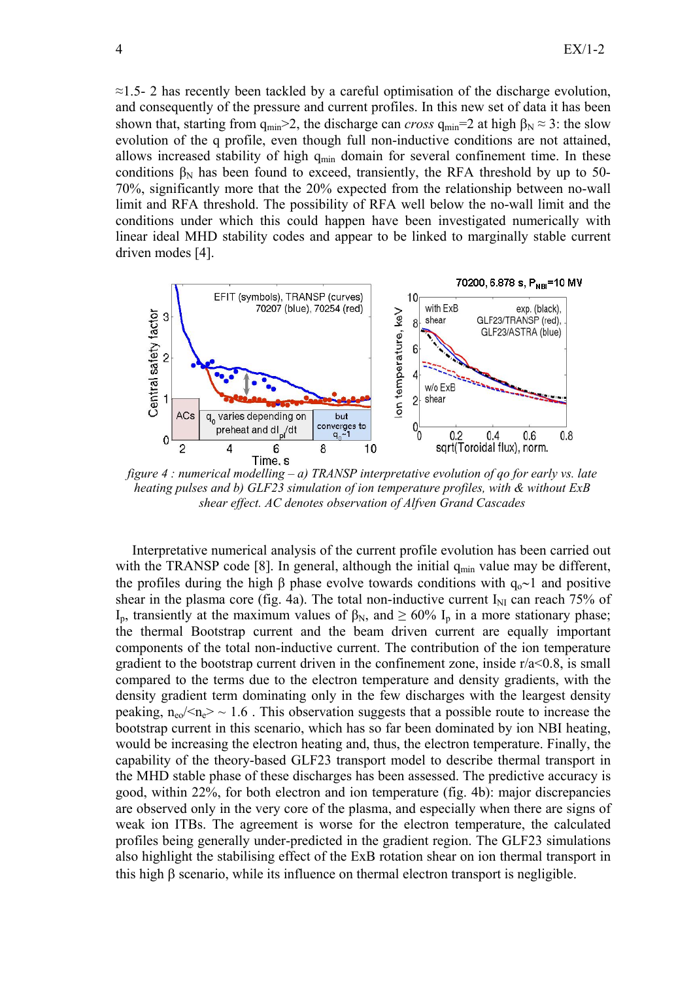$\approx$ 1.5- 2 has recently been tackled by a careful optimisation of the discharge evolution, and consequently of the pressure and current profiles. In this new set of data it has been shown that, starting from  $q_{min} > 2$ , the discharge can *cross*  $q_{min} = 2$  at high  $\beta_N \approx 3$ : the slow evolution of the q profile, even though full non-inductive conditions are not attained, allows increased stability of high  $q_{min}$  domain for several confinement time. In these conditions  $\beta_N$  has been found to exceed, transiently, the RFA threshold by up to 50-70%, significantly more that the 20% expected from the relationship between no-wall limit and RFA threshold. The possibility of RFA well below the no-wall limit and the conditions under which this could happen have been investigated numerically with linear ideal MHD stability codes and appear to be linked to marginally stable current driven modes [4].



*figure 4 : numerical modelling – a) TRANSP interpretative evolution of qo for early vs. late heating pulses and b) GLF23 simulation of ion temperature profiles, with & without ExB shear effect. AC denotes observation of Alfven Grand Cascades* 

Interpretative numerical analysis of the current profile evolution has been carried out with the TRANSP code [8]. In general, although the initial  $q_{min}$  value may be different, the profiles during the high β phase evolve towards conditions with  $q_0 \sim 1$  and positive shear in the plasma core (fig. 4a). The total non-inductive current  $I_{\text{NI}}$  can reach 75% of I<sub>p</sub>, transiently at the maximum values of β<sub>N</sub>, and  $\geq 60\%$  I<sub>p</sub> in a more stationary phase; the thermal Bootstrap current and the beam driven current are equally important components of the total non-inductive current. The contribution of the ion temperature gradient to the bootstrap current driven in the confinement zone, inside  $r/a < 0.8$ , is small compared to the terms due to the electron temperature and density gradients, with the density gradient term dominating only in the few discharges with the leargest density peaking,  $n_{\rm e0}$ / $\langle n_{\rm e} \rangle \sim 1.6$ . This observation suggests that a possible route to increase the bootstrap current in this scenario, which has so far been dominated by ion NBI heating, would be increasing the electron heating and, thus, the electron temperature. Finally, the capability of the theory-based GLF23 transport model to describe thermal transport in the MHD stable phase of these discharges has been assessed. The predictive accuracy is good, within 22%, for both electron and ion temperature (fig. 4b): major discrepancies are observed only in the very core of the plasma, and especially when there are signs of weak ion ITBs. The agreement is worse for the electron temperature, the calculated profiles being generally under-predicted in the gradient region. The GLF23 simulations also highlight the stabilising effect of the ExB rotation shear on ion thermal transport in this high β scenario, while its influence on thermal electron transport is negligible.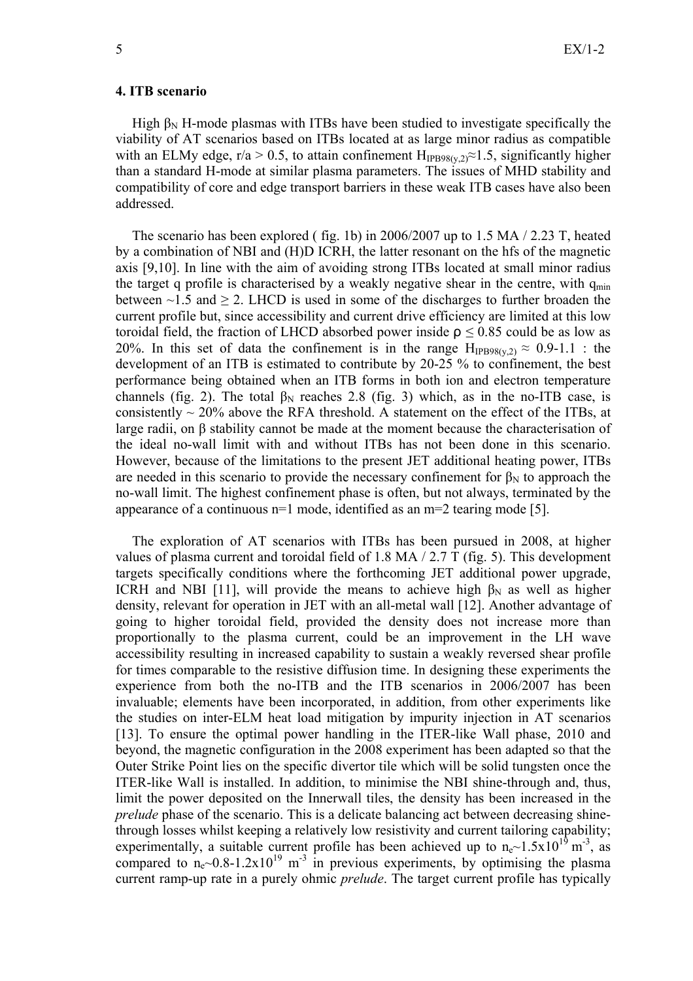#### **4. ITB scenario**

High  $\beta_N$  H-mode plasmas with ITBs have been studied to investigate specifically the viability of AT scenarios based on ITBs located at as large minor radius as compatible with an ELMy edge, r/a > 0.5, to attain confinement  $H_{IPB98(v,2)} \approx 1.5$ , significantly higher than a standard H-mode at similar plasma parameters. The issues of MHD stability and compatibility of core and edge transport barriers in these weak ITB cases have also been addressed.

 The scenario has been explored ( fig. 1b) in 2006/2007 up to 1.5 MA / 2.23 T, heated by a combination of NBI and (H)D ICRH, the latter resonant on the hfs of the magnetic axis [9,10]. In line with the aim of avoiding strong ITBs located at small minor radius the target q profile is characterised by a weakly negative shear in the centre, with  $q_{min}$ between  $\sim$ 1.5 and  $\geq$  2. LHCD is used in some of the discharges to further broaden the current profile but, since accessibility and current drive efficiency are limited at this low toroidal field, the fraction of LHCD absorbed power inside  $\rho \le 0.85$  could be as low as 20%. In this set of data the confinement is in the range  $H_{IPB98(v,2)} \approx 0.9-1.1$ : the development of an ITB is estimated to contribute by 20-25 % to confinement, the best performance being obtained when an ITB forms in both ion and electron temperature channels (fig. 2). The total  $\beta_N$  reaches 2.8 (fig. 3) which, as in the no-ITB case, is consistently  $\sim$  20% above the RFA threshold. A statement on the effect of the ITBs, at large radii, on β stability cannot be made at the moment because the characterisation of the ideal no-wall limit with and without ITBs has not been done in this scenario. However, because of the limitations to the present JET additional heating power, ITBs are needed in this scenario to provide the necessary confinement for  $\beta_N$  to approach the no-wall limit. The highest confinement phase is often, but not always, terminated by the appearance of a continuous n=1 mode, identified as an m=2 tearing mode [5].

 The exploration of AT scenarios with ITBs has been pursued in 2008, at higher values of plasma current and toroidal field of 1.8 MA / 2.7 T (fig. 5). This development targets specifically conditions where the forthcoming JET additional power upgrade, ICRH and NBI [11], will provide the means to achieve high  $\beta_N$  as well as higher density, relevant for operation in JET with an all-metal wall [12]. Another advantage of going to higher toroidal field, provided the density does not increase more than proportionally to the plasma current, could be an improvement in the LH wave accessibility resulting in increased capability to sustain a weakly reversed shear profile for times comparable to the resistive diffusion time. In designing these experiments the experience from both the no-ITB and the ITB scenarios in 2006/2007 has been invaluable; elements have been incorporated, in addition, from other experiments like the studies on inter-ELM heat load mitigation by impurity injection in AT scenarios [13]. To ensure the optimal power handling in the ITER-like Wall phase, 2010 and beyond, the magnetic configuration in the 2008 experiment has been adapted so that the Outer Strike Point lies on the specific divertor tile which will be solid tungsten once the ITER-like Wall is installed. In addition, to minimise the NBI shine-through and, thus, limit the power deposited on the Innerwall tiles, the density has been increased in the *prelude* phase of the scenario. This is a delicate balancing act between decreasing shinethrough losses whilst keeping a relatively low resistivity and current tailoring capability; experimentally, a suitable current profile has been achieved up to  $n_e$ ~1.5x10<sup>19</sup> m<sup>-3</sup>, as compared to  $n_e$  -0.8-1.2x10<sup>19</sup> m<sup>-3</sup> in previous experiments, by optimising the plasma current ramp-up rate in a purely ohmic *prelude*. The target current profile has typically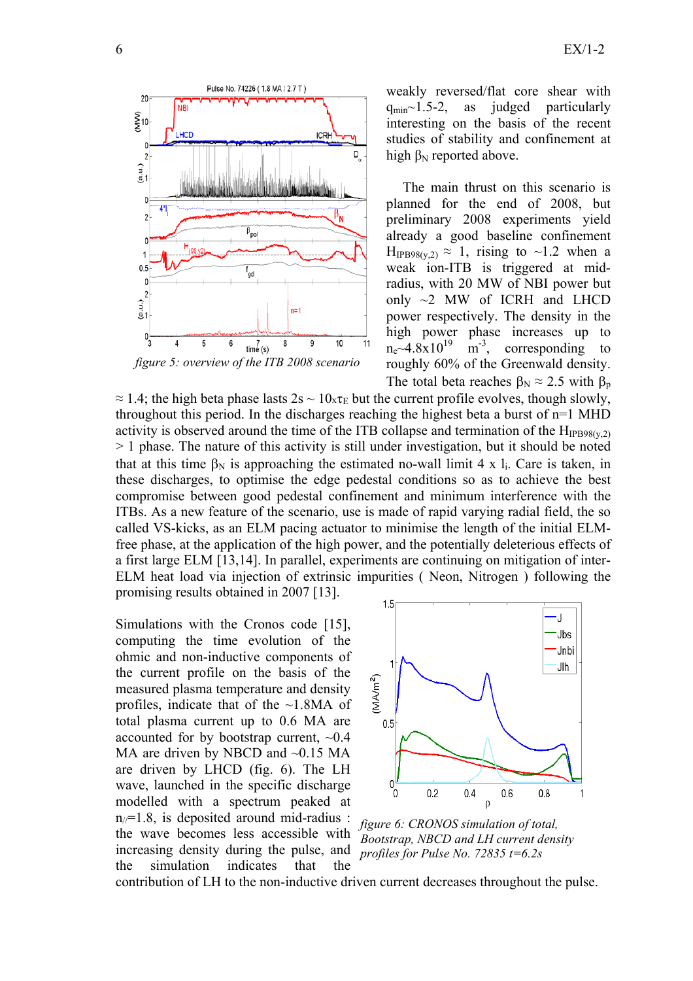

weakly reversed/flat core shear with  $q_{min}$ ~1.5-2, as judged particularly interesting on the basis of the recent studies of stability and confinement at high  $β<sub>N</sub>$  reported above.

The main thrust on this scenario is planned for the end of 2008, but preliminary 2008 experiments yield already a good baseline confinement  $H_{IPB98(y,2)} \approx 1$ , rising to ~1.2 when a weak ion-ITB is triggered at midradius, with 20 MW of NBI power but only  $\sim$ 2 MW of ICRH and LHCD power respectively. The density in the high power phase increases up to  $n_e$  -4.8x10<sup>19</sup> m<sup>-3</sup>, corresponding to roughly 60% of the Greenwald density. The total beta reaches  $\beta_N \approx 2.5$  with  $\beta_p$ 

 $\approx$  1.4; the high beta phase lasts 2s ~ 10 $x\tau_E$  but the current profile evolves, though slowly, throughout this period. In the discharges reaching the highest beta a burst of n=1 MHD activity is observed around the time of the ITB collapse and termination of the  $H_{IPB98(v,2)}$ > 1 phase. The nature of this activity is still under investigation, but it should be noted that at this time  $\beta_N$  is approaching the estimated no-wall limit 4 x l<sub>i</sub>. Care is taken, in these discharges, to optimise the edge pedestal conditions so as to achieve the best compromise between good pedestal confinement and minimum interference with the ITBs. As a new feature of the scenario, use is made of rapid varying radial field, the so called VS-kicks, as an ELM pacing actuator to minimise the length of the initial ELMfree phase, at the application of the high power, and the potentially deleterious effects of a first large ELM [13,14]. In parallel, experiments are continuing on mitigation of inter-ELM heat load via injection of extrinsic impurities ( Neon, Nitrogen ) following the promising results obtained in 2007 [13].

Simulations with the Cronos code [15], computing the time evolution of the ohmic and non-inductive components of the current profile on the basis of the measured plasma temperature and density profiles, indicate that of the ~1.8MA of total plasma current up to 0.6 MA are accounted for by bootstrap current, ~0.4 MA are driven by NBCD and  $\sim 0.15$  MA are driven by LHCD (fig. 6). The LH wave, launched in the specific discharge modelled with a spectrum peaked at  $n_{\ell}=1.8$ , is deposited around mid-radius : the wave becomes less accessible with increasing density during the pulse, and the simulation indicates that the



*figure 6: CRONOS simulation of total, Bootstrap, NBCD and LH current density profiles for Pulse No. 72835 t=6.2s* 

contribution of LH to the non-inductive driven current decreases throughout the pulse.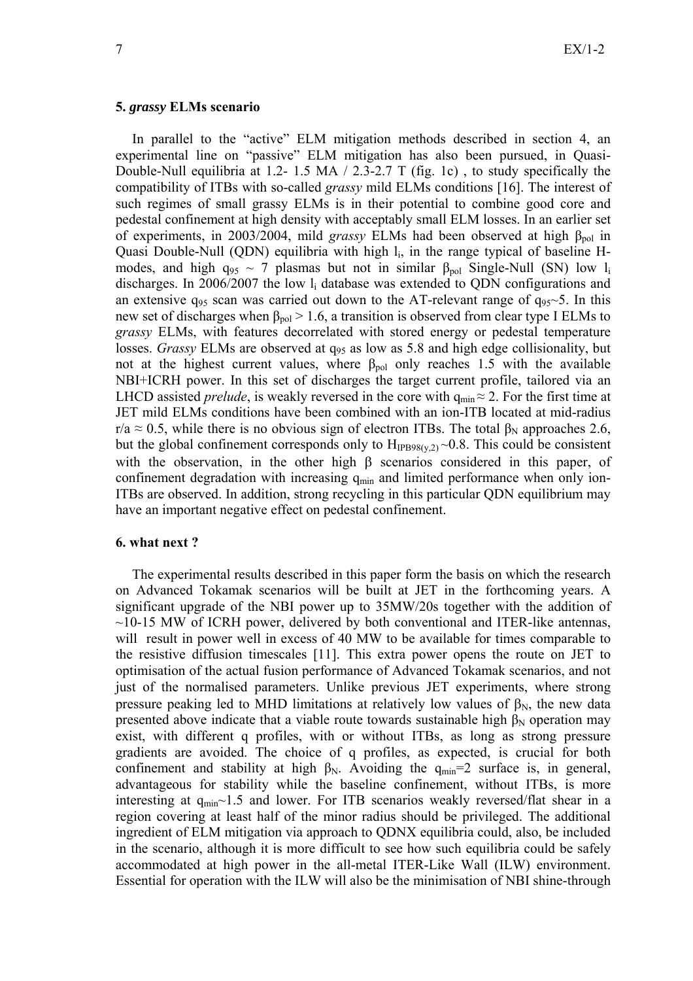### **5.** *grassy* **ELMs scenario**

In parallel to the "active" ELM mitigation methods described in section 4, an experimental line on "passive" ELM mitigation has also been pursued, in Quasi-Double-Null equilibria at 1.2- 1.5 MA / 2.3-2.7 T (fig. 1c) , to study specifically the compatibility of ITBs with so-called *grassy* mild ELMs conditions [16]. The interest of such regimes of small grassy ELMs is in their potential to combine good core and pedestal confinement at high density with acceptably small ELM losses. In an earlier set of experiments, in 2003/2004, mild *grassy* ELMs had been observed at high  $\beta_{pol}$  in Quasi Double-Null (QDN) equilibria with high  $l_i$ , in the range typical of baseline Hmodes, and high  $q_{95} \sim 7$  plasmas but not in similar  $\beta_{pol}$  Single-Null (SN) low l<sub>i</sub> discharges. In 2006/2007 the low  $l_i$  database was extended to QDN configurations and an extensive  $q_{95}$  scan was carried out down to the AT-relevant range of  $q_{95}$ ~5. In this new set of discharges when  $β_{pol} > 1.6$ , a transition is observed from clear type I ELMs to *grassy* ELMs, with features decorrelated with stored energy or pedestal temperature losses. *Grassy* ELMs are observed at  $q_{95}$  as low as 5.8 and high edge collisionality, but not at the highest current values, where  $β_{pol}$  only reaches 1.5 with the available NBI+ICRH power. In this set of discharges the target current profile, tailored via an LHCD assisted *prelude*, is weakly reversed in the core with  $q_{min} \approx 2$ . For the first time at JET mild ELMs conditions have been combined with an ion-ITB located at mid-radius r/a  $\approx$  0.5, while there is no obvious sign of electron ITBs. The total  $\beta_N$  approaches 2.6, but the global confinement corresponds only to  $H_{IPB98(v,2)} \sim 0.8$ . This could be consistent with the observation, in the other high  $\beta$  scenarios considered in this paper, of confinement degradation with increasing  $q_{min}$  and limited performance when only ion-ITBs are observed. In addition, strong recycling in this particular QDN equilibrium may have an important negative effect on pedestal confinement.

### **6. what next ?**

The experimental results described in this paper form the basis on which the research on Advanced Tokamak scenarios will be built at JET in the forthcoming years. A significant upgrade of the NBI power up to 35MW/20s together with the addition of  $\sim$ 10-15 MW of ICRH power, delivered by both conventional and ITER-like antennas, will result in power well in excess of 40 MW to be available for times comparable to the resistive diffusion timescales [11]. This extra power opens the route on JET to optimisation of the actual fusion performance of Advanced Tokamak scenarios, and not just of the normalised parameters. Unlike previous JET experiments, where strong pressure peaking led to MHD limitations at relatively low values of  $\beta_N$ , the new data presented above indicate that a viable route towards sustainable high  $\beta_N$  operation may exist, with different q profiles, with or without ITBs, as long as strong pressure gradients are avoided. The choice of q profiles, as expected, is crucial for both confinement and stability at high  $\beta_N$ . Avoiding the q<sub>min</sub>=2 surface is, in general, advantageous for stability while the baseline confinement, without ITBs, is more interesting at  $q_{min}$  1.5 and lower. For ITB scenarios weakly reversed/flat shear in a region covering at least half of the minor radius should be privileged. The additional ingredient of ELM mitigation via approach to QDNX equilibria could, also, be included in the scenario, although it is more difficult to see how such equilibria could be safely accommodated at high power in the all-metal ITER-Like Wall (ILW) environment. Essential for operation with the ILW will also be the minimisation of NBI shine-through